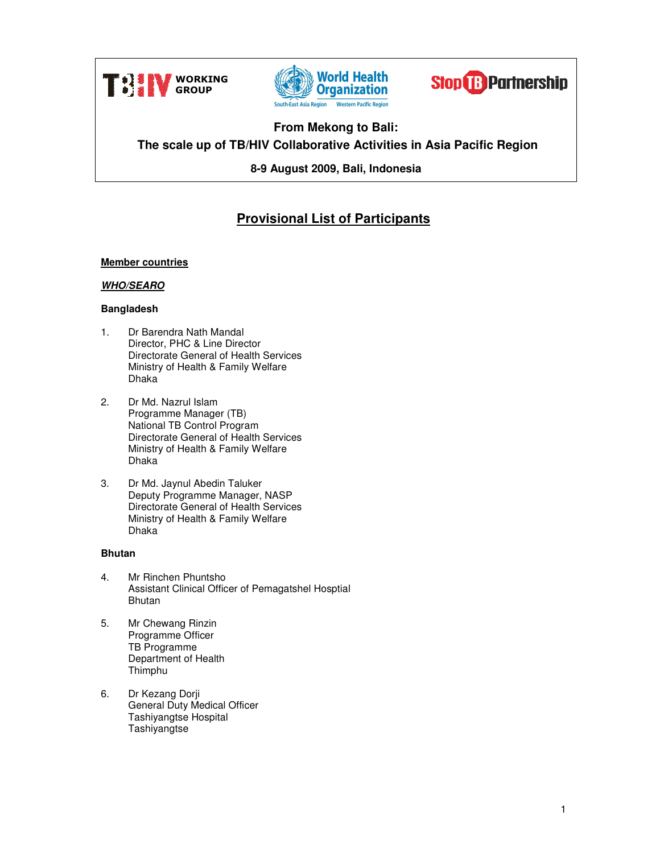





# **From Mekong to Bali: The scale up of TB/HIV Collaborative Activities in Asia Pacific Region**

**8-9 August 2009, Bali, Indonesia** 

# **Provisional List of Participants**

# **Member countries**

# **WHO/SEARO**

# **Bangladesh**

- 1. Dr Barendra Nath Mandal Director, PHC & Line Director Directorate General of Health Services Ministry of Health & Family Welfare Dhaka
- 2. Dr Md. Nazrul Islam Programme Manager (TB) National TB Control Program Directorate General of Health Services Ministry of Health & Family Welfare Dhaka
- 3. Dr Md. Jaynul Abedin Taluker Deputy Programme Manager, NASP Directorate General of Health Services Ministry of Health & Family Welfare Dhaka

# **Bhutan**

- 4. Mr Rinchen Phuntsho Assistant Clinical Officer of Pemagatshel Hosptial Bhutan
- 5. Mr Chewang Rinzin Programme Officer TB Programme Department of Health Thimphu
- 6. Dr Kezang Dorji General Duty Medical Officer Tashiyangtse Hospital **Tashiyangtse**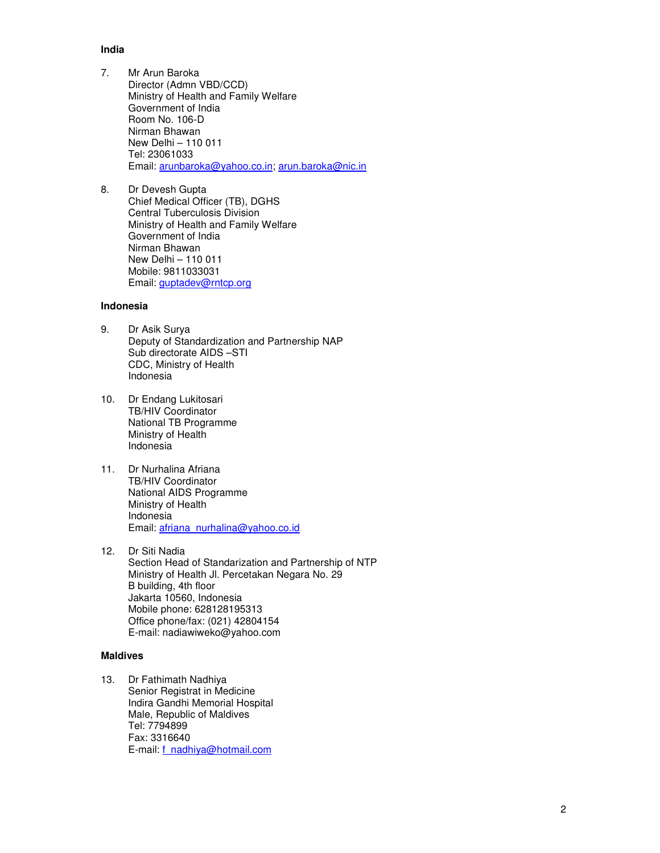# **India**

- 7. Mr Arun Baroka Director (Admn VBD/CCD) Ministry of Health and Family Welfare Government of India Room No. 106-D Nirman Bhawan New Delhi – 110 011 Tel: 23061033 Email: arunbaroka@yahoo.co.in; arun.baroka@nic.in
- 8. Dr Devesh Gupta Chief Medical Officer (TB), DGHS Central Tuberculosis Division Ministry of Health and Family Welfare Government of India Nirman Bhawan New Delhi – 110 011 Mobile: 9811033031 Email: guptadev@rntcp.org

# **Indonesia**

- 9. Dr Asik Surya Deputy of Standardization and Partnership NAP Sub directorate AIDS –STI CDC, Ministry of Health Indonesia
- 10. Dr Endang Lukitosari TB/HIV Coordinator National TB Programme Ministry of Health Indonesia
- 11. Dr Nurhalina Afriana TB/HIV Coordinator National AIDS Programme Ministry of Health Indonesia Email: afriana\_nurhalina@yahoo.co.id
- 12. Dr Siti Nadia Section Head of Standarization and Partnership of NTP Ministry of Health Jl. Percetakan Negara No. 29 B building, 4th floor Jakarta 10560, Indonesia Mobile phone: 628128195313 Office phone/fax: (021) 42804154 E-mail: nadiawiweko@yahoo.com

## **Maldives**

13. Dr Fathimath Nadhiya Senior Registrat in Medicine Indira Gandhi Memorial Hospital Male, Republic of Maldives Tel: 7794899 Fax: 3316640 E-mail: f\_nadhiya@hotmail.com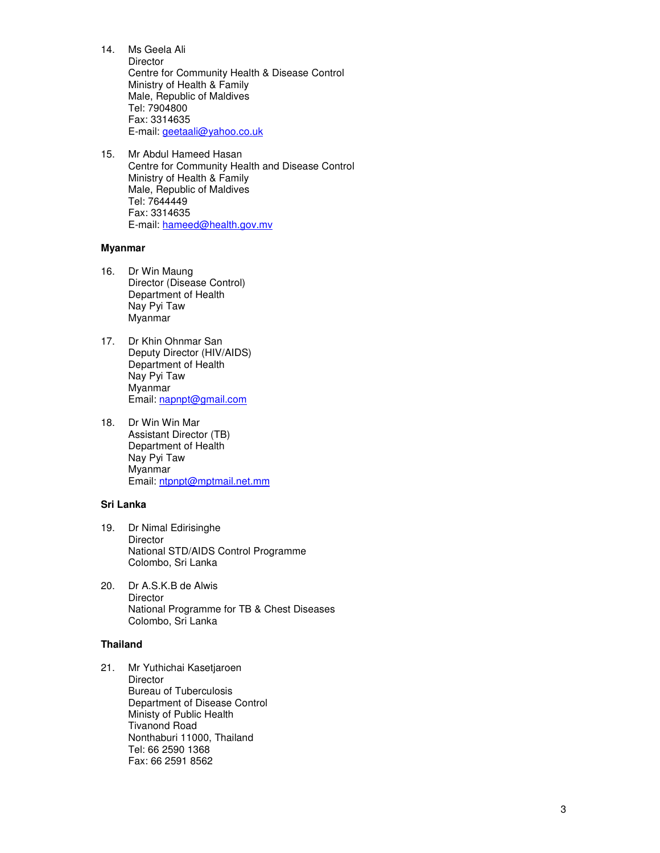14. Ms Geela Ali **Director** Centre for Community Health & Disease Control Ministry of Health & Family Male, Republic of Maldives Tel: 7904800 Fax: 3314635 E-mail: geetaali@yahoo.co.uk

15. Mr Abdul Hameed Hasan Centre for Community Health and Disease Control Ministry of Health & Family Male, Republic of Maldives Tel: 7644449 Fax: 3314635 E-mail: hameed@health.gov.mv

#### **Myanmar**

- 16. Dr Win Maung Director (Disease Control) Department of Health Nay Pyi Taw Myanmar
- 17. Dr Khin Ohnmar San Deputy Director (HIV/AIDS) Department of Health Nay Pyi Taw Myanmar Email: napnpt@gmail.com
- 18. Dr Win Win Mar Assistant Director (TB) Department of Health Nay Pyi Taw Myanmar Email: ntpnpt@mptmail.net.mm

# **Sri Lanka**

- 19. Dr Nimal Edirisinghe **Director** National STD/AIDS Control Programme Colombo, Sri Lanka
- 20. Dr A.S.K.B de Alwis Director National Programme for TB & Chest Diseases Colombo, Sri Lanka

## **Thailand**

21. Mr Yuthichai Kasetjaroen **Director** Bureau of Tuberculosis Department of Disease Control Ministy of Public Health Tivanond Road Nonthaburi 11000, Thailand Tel: 66 2590 1368 Fax: 66 2591 8562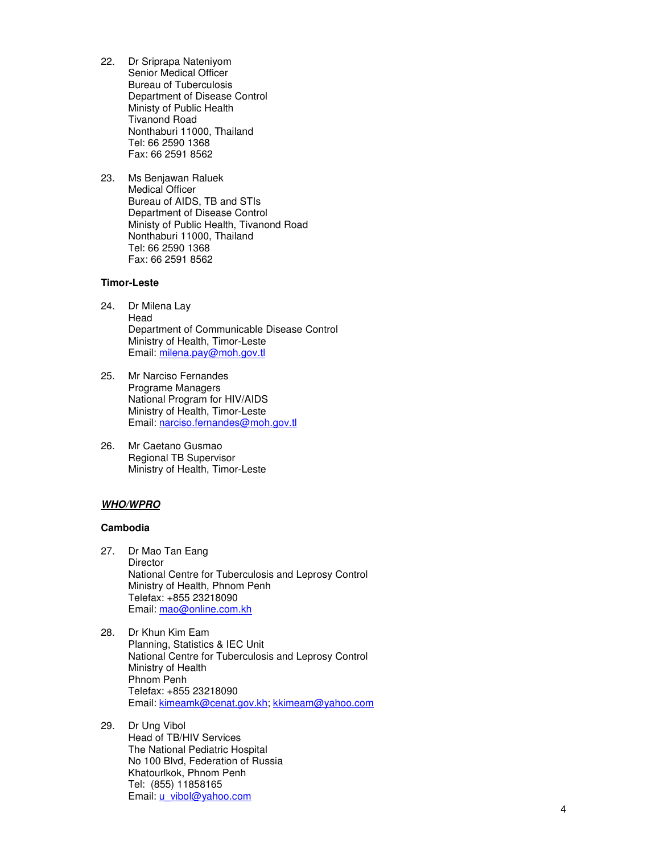- 22. Dr Sriprapa Nateniyom Senior Medical Officer Bureau of Tuberculosis Department of Disease Control Ministy of Public Health Tivanond Road Nonthaburi 11000, Thailand Tel: 66 2590 1368 Fax: 66 2591 8562
- 23. Ms Benjawan Raluek Medical Officer Bureau of AIDS, TB and STIs Department of Disease Control Ministy of Public Health, Tivanond Road Nonthaburi 11000, Thailand Tel: 66 2590 1368 Fax: 66 2591 8562

## **Timor-Leste**

- 24. Dr Milena Lay Head Department of Communicable Disease Control Ministry of Health, Timor-Leste Email: milena.pay@moh.gov.tl
- 25. Mr Narciso Fernandes Programe Managers National Program for HIV/AIDS Ministry of Health, Timor-Leste Email: narciso.fernandes@moh.gov.tl
- 26. Mr Caetano Gusmao Regional TB Supervisor Ministry of Health, Timor-Leste

# **WHO/WPRO**

# **Cambodia**

- 27. Dr Mao Tan Eang **Director** National Centre for Tuberculosis and Leprosy Control Ministry of Health, Phnom Penh Telefax: +855 23218090 Email: mao@online.com.kh
- 28. Dr Khun Kim Eam Planning, Statistics & IEC Unit National Centre for Tuberculosis and Leprosy Control Ministry of Health Phnom Penh Telefax: +855 23218090 Email: kimeamk@cenat.gov.kh; kkimeam@yahoo.com
- 29. Dr Ung Vibol Head of TB/HIV Services The National Pediatric Hospital No 100 Blvd, Federation of Russia Khatourlkok, Phnom Penh Tel: (855) 11858165 Email: u\_vibol@yahoo.com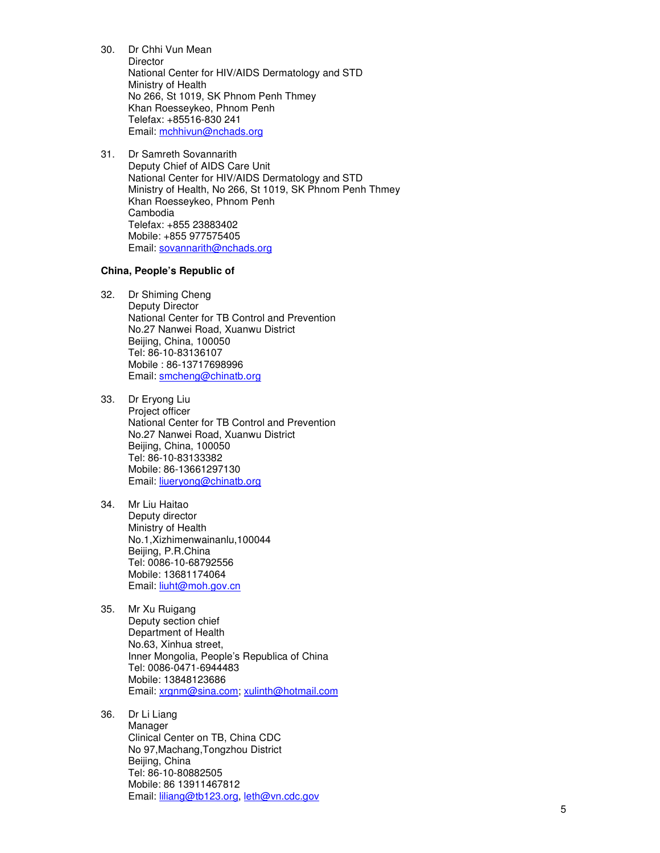30. Dr Chhi Vun Mean **Director** National Center for HIV/AIDS Dermatology and STD Ministry of Health No 266, St 1019, SK Phnom Penh Thmey Khan Roesseykeo, Phnom Penh Telefax: +85516-830 241 Email: mchhivun@nchads.org

31. Dr Samreth Sovannarith Deputy Chief of AIDS Care Unit National Center for HIV/AIDS Dermatology and STD Ministry of Health, No 266, St 1019, SK Phnom Penh Thmey Khan Roesseykeo, Phnom Penh Cambodia Telefax: +855 23883402 Mobile: +855 977575405 Email: sovannarith@nchads.org

## **China, People's Republic of**

- 32. Dr Shiming Cheng Deputy Director National Center for TB Control and Prevention No.27 Nanwei Road, Xuanwu District Beijing, China, 100050 Tel: 86-10-83136107 Mobile : 86-13717698996 Email: smcheng@chinatb.org
- 33. Dr Eryong Liu Project officer National Center for TB Control and Prevention No.27 Nanwei Road, Xuanwu District Beijing, China, 100050 Tel: 86-10-83133382 Mobile: 86-13661297130 Email: liueryong@chinatb.org
- 34. Mr Liu Haitao Deputy director Ministry of Health No.1,Xizhimenwainanlu,100044 Beijing, P.R.China Tel: 0086-10-68792556 Mobile: 13681174064 Email: liuht@moh.gov.cn
- 35. Mr Xu Ruigang Deputy section chief Department of Health No.63, Xinhua street, Inner Mongolia, People's Republica of China Tel: 0086-0471-6944483 Mobile: 13848123686 Email: xrgnm@sina.com; xulinth@hotmail.com

#### 36. Dr Li Liang Manager Clinical Center on TB, China CDC No 97,Machang,Tongzhou District Beijing, China Tel: 86-10-80882505 Mobile: 86 13911467812 Email: liliang@tb123.org, leth@vn.cdc.gov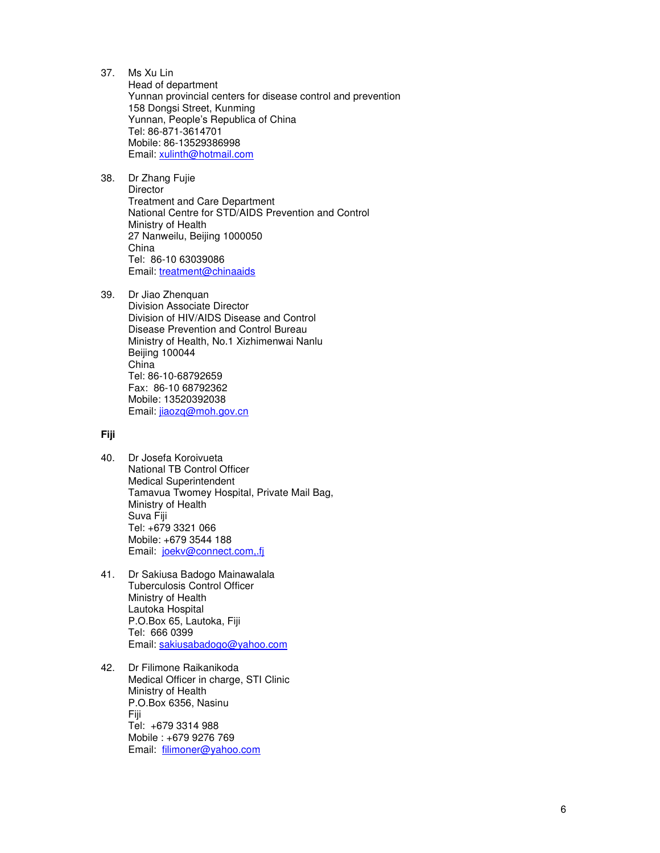- 37. Ms Xu Lin Head of department Yunnan provincial centers for disease control and prevention 158 Dongsi Street, Kunming Yunnan, People's Republica of China Tel: 86-871-3614701 Mobile: 86-13529386998 Email: xulinth@hotmail.com
- 38. Dr Zhang Fujie **Director** Treatment and Care Department National Centre for STD/AIDS Prevention and Control Ministry of Health 27 Nanweilu, Beijing 1000050 China Tel: 86-10 63039086 Email: treatment@chinaaids
- 39. Dr Jiao Zhenquan Division Associate Director Division of HIV/AIDS Disease and Control Disease Prevention and Control Bureau Ministry of Health, No.1 Xizhimenwai Nanlu Beijing 100044 China Tel: 86-10-68792659 Fax: 86-10 68792362 Mobile: 13520392038 Email: jiaozq@moh.gov.cn

# **Fiji**

- 40. Dr Josefa Koroivueta National TB Control Officer Medical Superintendent Tamavua Twomey Hospital, Private Mail Bag, Ministry of Health Suva Fiji Tel: +679 3321 066 Mobile: +679 3544 188 Email: joekv@connect.com,.fj
- 41. Dr Sakiusa Badogo Mainawalala Tuberculosis Control Officer Ministry of Health Lautoka Hospital P.O.Box 65, Lautoka, Fiji Tel: 666 0399 Email: sakiusabadogo@yahoo.com
- 42. Dr Filimone Raikanikoda Medical Officer in charge, STI Clinic Ministry of Health P.O.Box 6356, Nasinu Fiji Tel: +679 3314 988 Mobile : +679 9276 769 Email: filimoner@yahoo.com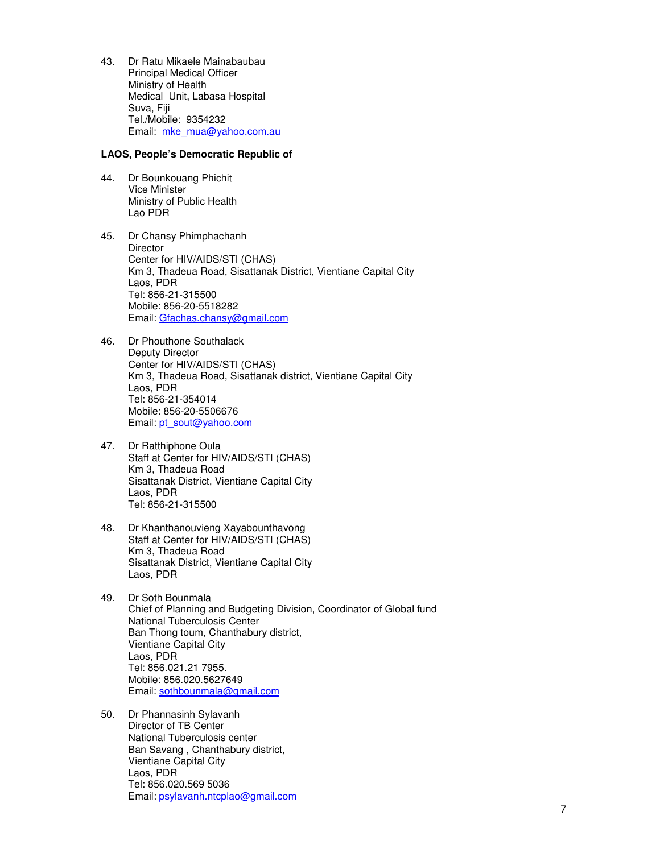43. Dr Ratu Mikaele Mainabaubau Principal Medical Officer Ministry of Health Medical Unit, Labasa Hospital Suva, Fiji Tel./Mobile: 9354232 Email: mke\_mua@yahoo.com.au

## **LAOS, People's Democratic Republic of**

- 44. Dr Bounkouang Phichit Vice Minister Ministry of Public Health Lao PDR
- 45. Dr Chansy Phimphachanh **Director** Center for HIV/AIDS/STI (CHAS) Km 3, Thadeua Road, Sisattanak District, Vientiane Capital City Laos, PDR Tel: 856-21-315500 Mobile: 856-20-5518282 Email: Gfachas.chansy@gmail.com
- 46. Dr Phouthone Southalack Deputy Director Center for HIV/AIDS/STI (CHAS) Km 3, Thadeua Road, Sisattanak district, Vientiane Capital City Laos, PDR Tel: 856-21-354014 Mobile: 856-20-5506676 Email: pt\_sout@yahoo.com
- 47. Dr Ratthiphone Oula Staff at Center for HIV/AIDS/STI (CHAS) Km 3, Thadeua Road Sisattanak District, Vientiane Capital City Laos, PDR Tel: 856-21-315500
- 48. Dr Khanthanouvieng Xayabounthavong Staff at Center for HIV/AIDS/STI (CHAS) Km 3, Thadeua Road Sisattanak District, Vientiane Capital City Laos, PDR
- 49. Dr Soth Bounmala Chief of Planning and Budgeting Division, Coordinator of Global fund National Tuberculosis Center Ban Thong toum, Chanthabury district, Vientiane Capital City Laos, PDR Tel: 856.021.21 7955. Mobile: 856.020.5627649 Email: sothbounmala@gmail.com
- 50. Dr Phannasinh Sylavanh Director of TB Center National Tuberculosis center Ban Savang , Chanthabury district, Vientiane Capital City Laos, PDR Tel: 856.020.569 5036 Email: psylavanh.ntcplao@gmail.com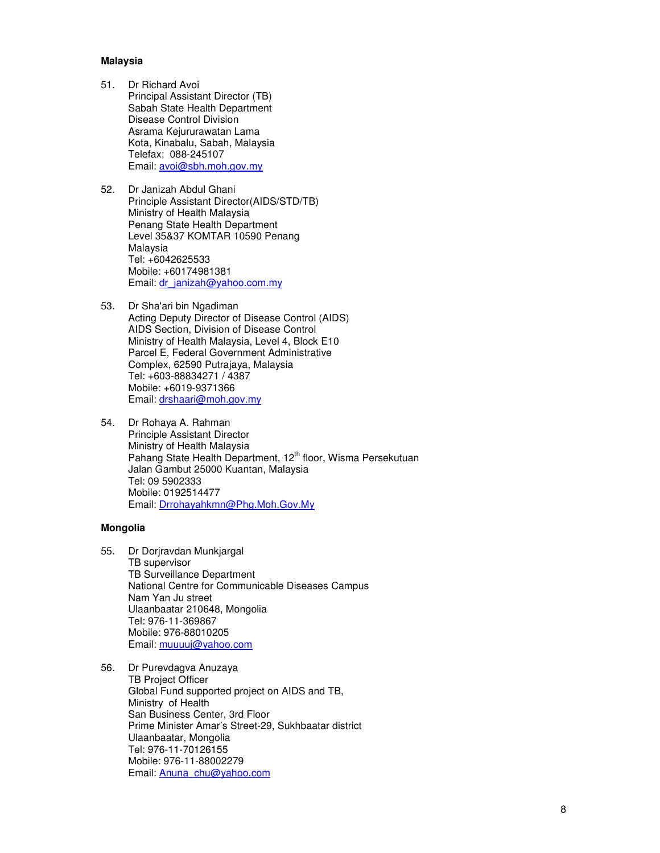# **Malaysia**

- 51. Dr Richard Avoi Principal Assistant Director (TB) Sabah State Health Department Disease Control Division Asrama Kejururawatan Lama Kota, Kinabalu, Sabah, Malaysia Telefax: 088-245107 Email: avoi@sbh.moh.gov.my
- 52. Dr Janizah Abdul Ghani Principle Assistant Director(AIDS/STD/TB) Ministry of Health Malaysia Penang State Health Department Level 35&37 KOMTAR 10590 Penang Malaysia Tel: +6042625533 Mobile: +60174981381 Email: dr\_janizah@yahoo.com.my

53. Dr Sha'ari bin Ngadiman Acting Deputy Director of Disease Control (AIDS) AIDS Section, Division of Disease Control Ministry of Health Malaysia, Level 4, Block E10 Parcel E, Federal Government Administrative Complex, 62590 Putrajaya, Malaysia Tel: +603-88834271 / 4387 Mobile: +6019-9371366 Email: drshaari@moh.gov.my

54. Dr Rohaya A. Rahman Principle Assistant Director Ministry of Health Malaysia Pahang State Health Department, 12<sup>th</sup> floor, Wisma Persekutuan Jalan Gambut 25000 Kuantan, Malaysia Tel: 09 5902333 Mobile: 0192514477 Email: Drrohayahkmn@Phg.Moh.Gov.My

# **Mongolia**

- 55. Dr Dorjravdan Munkjargal TB supervisor TB Surveillance Department National Centre for Communicable Diseases Campus Nam Yan Ju street Ulaanbaatar 210648, Mongolia Tel: 976-11-369867 Mobile: 976-88010205 Email: muuuuj@yahoo.com
- 56. Dr Purevdagva Anuzaya TB Project Officer Global Fund supported project on AIDS and TB, Ministry of Health San Business Center, 3rd Floor Prime Minister Amar's Street-29, Sukhbaatar district Ulaanbaatar, Mongolia Tel: 976-11-70126155 Mobile: 976-11-88002279 Email: Anuna\_chu@yahoo.com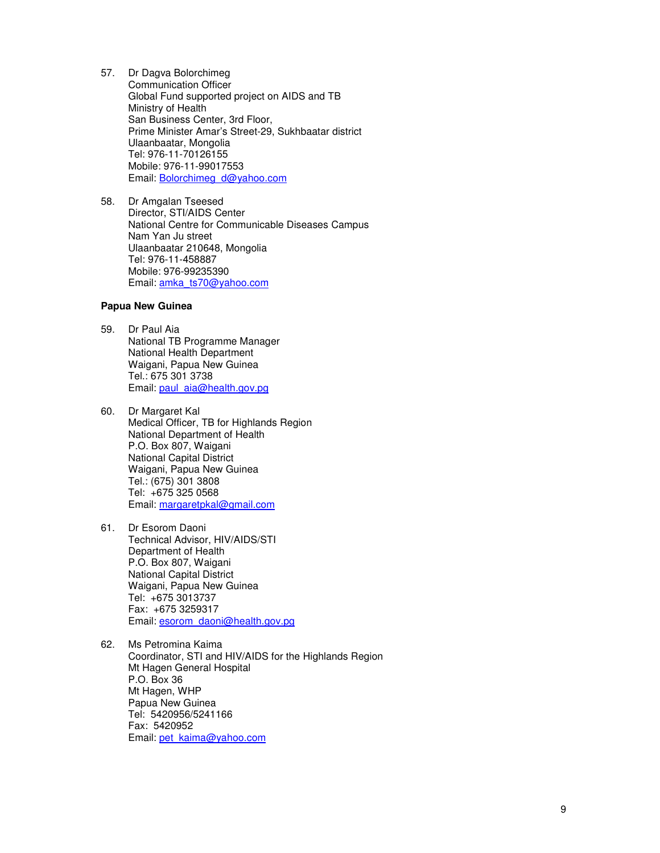- 57. Dr Dagva Bolorchimeg Communication Officer Global Fund supported project on AIDS and TB Ministry of Health San Business Center, 3rd Floor, Prime Minister Amar's Street-29, Sukhbaatar district Ulaanbaatar, Mongolia Tel: 976-11-70126155 Mobile: 976-11-99017553 Email: **Bolorchimeg\_d@yahoo.com**
- 58. Dr Amgalan Tseesed Director, STI/AIDS Center National Centre for Communicable Diseases Campus Nam Yan Ju street Ulaanbaatar 210648, Mongolia Tel: 976-11-458887 Mobile: 976-99235390 Email: amka\_ts70@yahoo.com

# **Papua New Guinea**

- 59. Dr Paul Aia National TB Programme Manager National Health Department Waigani, Papua New Guinea Tel.: 675 301 3738 Email: paul\_aia@health.gov.pg
- 60. Dr Margaret Kal Medical Officer, TB for Highlands Region National Department of Health P.O. Box 807, Waigani National Capital District Waigani, Papua New Guinea Tel.: (675) 301 3808 Tel: +675 325 0568 Email: margaretpkal@gmail.com
- 61. Dr Esorom Daoni Technical Advisor, HIV/AIDS/STI Department of Health P.O. Box 807, Waigani National Capital District Waigani, Papua New Guinea Tel: +675 3013737 Fax: +675 3259317 Email: esorom\_daoni@health.gov.pg
- 62. Ms Petromina Kaima Coordinator, STI and HIV/AIDS for the Highlands Region Mt Hagen General Hospital P.O. Box 36 Mt Hagen, WHP Papua New Guinea Tel: 5420956/5241166 Fax: 5420952 Email: pet\_kaima@yahoo.com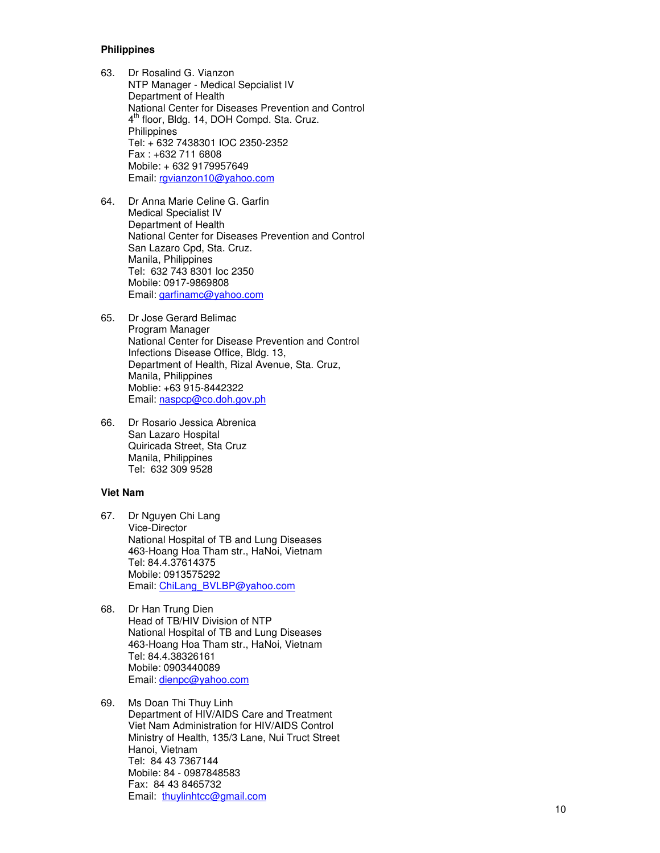## **Philippines**

- 63. Dr Rosalind G. Vianzon NTP Manager - Medical Sepcialist IV Department of Health<br>National Center for Diseases Prevention and Control National Center for Diseases Prevention and Control<br>4<sup>th</sup> floor, Bldg. 14, DOH Compd. Sta. Cruz. **Philippines** Tel: + 632 7438301 IOC 2350-2352 Fax : +632 711 6808 Mobile: + 632 9179957649 Email: rgvianzon10@yahoo.com
- 64. Dr Anna Marie Celine G. Garfin Medical Specialist IV Department of Health National Center for Diseases Prevention and Control San Lazaro Cpd, Sta. Cruz. Manila, Philippines Tel: 632 743 8301 loc 2350 Mobile: 0917-9869808 Email: garfinamc@yahoo.com
- 65. Dr Jose Gerard Belimac Program Manager National Center for Disease Prevention and Control Infections Disease Office, Bldg. 13, Department of Health, Rizal Avenue, Sta. Cruz, Manila, Philippines Moblie: +63 915-8442322 Email: naspcp@co.doh.gov.ph
- 66. Dr Rosario Jessica Abrenica San Lazaro Hospital Quiricada Street, Sta Cruz Manila, Philippines Tel: 632 309 9528

# **Viet Nam**

- 67. Dr Nguyen Chi Lang Vice-Director National Hospital of TB and Lung Diseases 463-Hoang Hoa Tham str., HaNoi, Vietnam Tel: 84.4.37614375 Mobile: 0913575292 Email: ChiLang\_BVLBP@yahoo.com
- 68. Dr Han Trung Dien Head of TB/HIV Division of NTP National Hospital of TB and Lung Diseases 463-Hoang Hoa Tham str., HaNoi, Vietnam Tel: 84.4.38326161 Mobile: 0903440089 Email: dienpc@yahoo.com
- 69. Ms Doan Thi Thuy Linh Department of HIV/AIDS Care and Treatment Viet Nam Administration for HIV/AIDS Control Ministry of Health, 135/3 Lane, Nui Truct Street Hanoi, Vietnam Tel: 84 43 7367144 Mobile: 84 - 0987848583 Fax: 84 43 8465732 Email: thuylinhtcc@gmail.com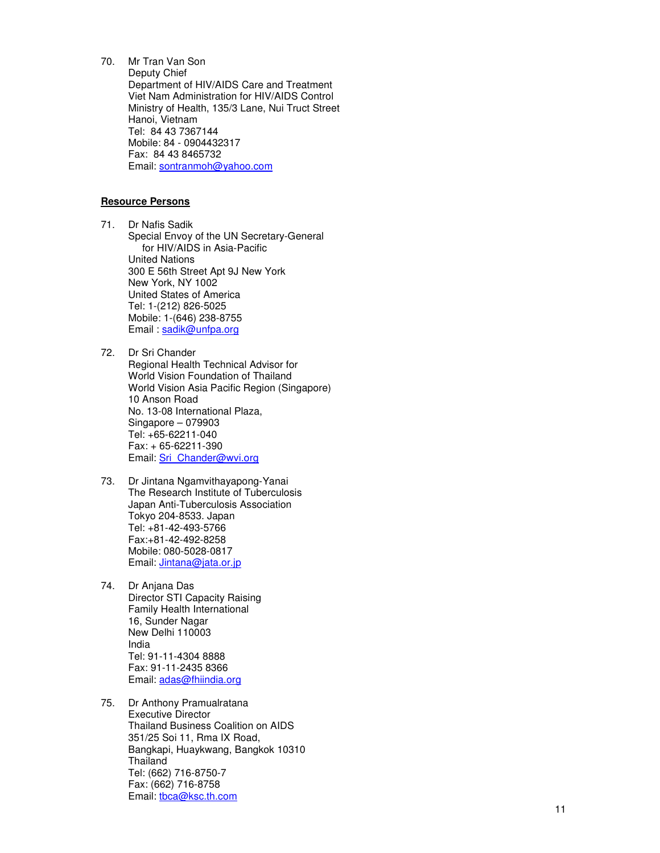70. Mr Tran Van Son Deputy Chief Department of HIV/AIDS Care and Treatment Viet Nam Administration for HIV/AIDS Control Ministry of Health, 135/3 Lane, Nui Truct Street Hanoi, Vietnam Tel: 84 43 7367144 Mobile: 84 - 0904432317 Fax: 84 43 8465732 Email: sontranmoh@yahoo.com

# **Resource Persons**

71. Dr Nafis Sadik Special Envoy of the UN Secretary-General for HIV/AIDS in Asia-Pacific United Nations 300 E 56th Street Apt 9J New York New York, NY 1002 United States of America Tel: 1-(212) 826-5025 Mobile: 1-(646) 238-8755 Email: sadik@unfpa.org

- 72. Dr Sri Chander Regional Health Technical Advisor for World Vision Foundation of Thailand World Vision Asia Pacific Region (Singapore) 10 Anson Road No. 13-08 International Plaza, Singapore – 079903 Tel: +65-62211-040 Fax: + 65-62211-390 Email: Sri\_Chander@wvi.org
- 73. Dr Jintana Ngamvithayapong-Yanai The Research Institute of Tuberculosis Japan Anti-Tuberculosis Association Tokyo 204-8533. Japan Tel: +81-42-493-5766 Fax:+81-42-492-8258 Mobile: 080-5028-0817 Email: *Jintana@jata.or.jp*
- 74. Dr Anjana Das Director STI Capacity Raising Family Health International 16, Sunder Nagar New Delhi 110003 India Tel: 91-11-4304 8888 Fax: 91-11-2435 8366 Email: adas@fhiindia.org
- 75. Dr Anthony Pramualratana Executive Director Thailand Business Coalition on AIDS 351/25 Soi 11, Rma IX Road, Bangkapi, Huaykwang, Bangkok 10310 Thailand Tel: (662) 716-8750-7 Fax: (662) 716-8758 Email: tbca@ksc.th.com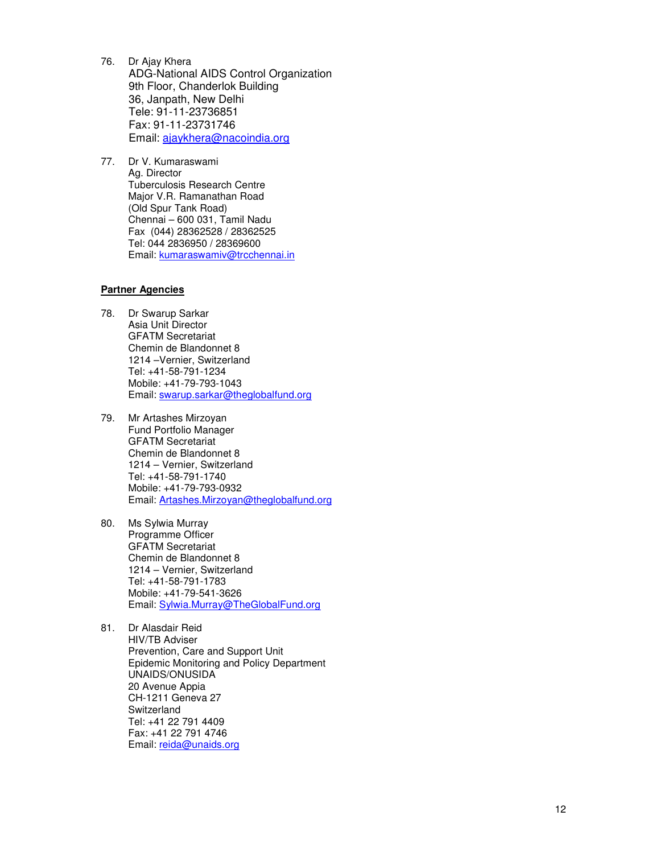- 76. Dr Ajay Khera ADG-National AIDS Control Organization 9th Floor, Chanderlok Building 36, Janpath, New Delhi Tele: 91-11-23736851 Fax: 91-11-23731746 Email: ajaykhera@nacoindia.org
- 77. Dr V. Kumaraswami Ag. Director Tuberculosis Research Centre Major V.R. Ramanathan Road (Old Spur Tank Road) Chennai – 600 031, Tamil Nadu Fax (044) 28362528 / 28362525 Tel: 044 2836950 / 28369600 Email: kumaraswamiv@trcchennai.in

# **Partner Agencies**

- 78. Dr Swarup Sarkar Asia Unit Director GFATM Secretariat Chemin de Blandonnet 8 1214 –Vernier, Switzerland Tel: +41-58-791-1234 Mobile: +41-79-793-1043 Email: swarup.sarkar@theglobalfund.org
- 79. Mr Artashes Mirzoyan Fund Portfolio Manager GFATM Secretariat Chemin de Blandonnet 8 1214 – Vernier, Switzerland Tel: +41-58-791-1740 Mobile: +41-79-793-0932 Email: Artashes.Mirzoyan@theglobalfund.org
- 80. Ms Sylwia Murray Programme Officer GFATM Secretariat Chemin de Blandonnet 8 1214 – Vernier, Switzerland Tel: +41-58-791-1783 Mobile: +41-79-541-3626 Email: Sylwia.Murray@TheGlobalFund.org
- 81. Dr Alasdair Reid HIV/TB Adviser Prevention, Care and Support Unit Epidemic Monitoring and Policy Department UNAIDS/ONUSIDA 20 Avenue Appia CH-1211 Geneva 27 **Switzerland** Tel: +41 22 791 4409 Fax: +41 22 791 4746 Email: reida@unaids.org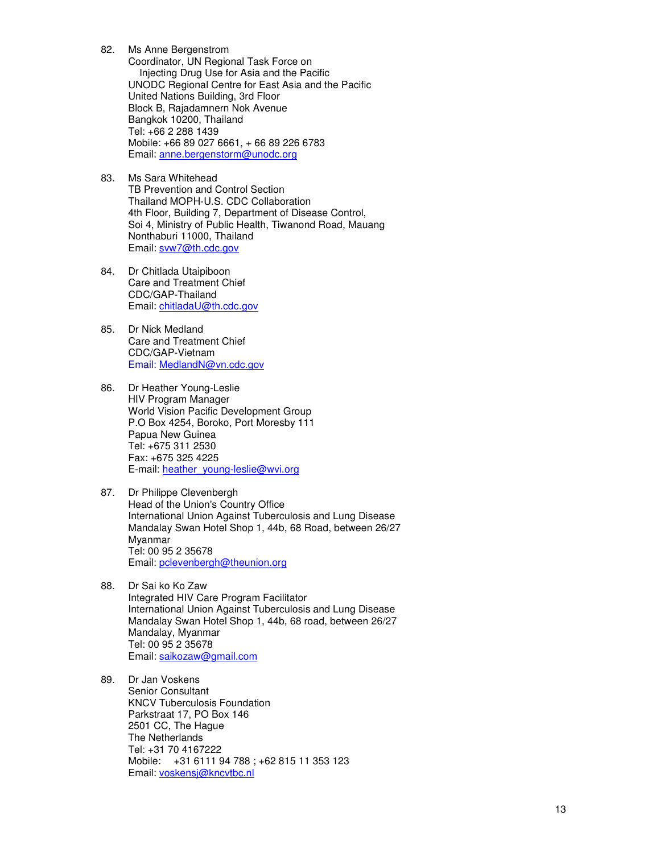- 82. Ms Anne Bergenstrom Coordinator, UN Regional Task Force on Injecting Drug Use for Asia and the Pacific UNODC Regional Centre for East Asia and the Pacific United Nations Building, 3rd Floor Block B, Rajadamnern Nok Avenue Bangkok 10200, Thailand Tel: +66 2 288 1439 Mobile: +66 89 027 6661, + 66 89 226 6783 Email: anne.bergenstorm@unodc.org
- 83. Ms Sara Whitehead TB Prevention and Control Section Thailand MOPH-U.S. CDC Collaboration 4th Floor, Building 7, Department of Disease Control, Soi 4, Ministry of Public Health, Tiwanond Road, Mauang Nonthaburi 11000, Thailand Email: svw7@th.cdc.gov
- 84. Dr Chitlada Utaipiboon Care and Treatment Chief CDC/GAP-Thailand Email: chitladaU@th.cdc.gov
- 85. Dr Nick Medland Care and Treatment Chief CDC/GAP-Vietnam Email: MedlandN@vn.cdc.gov
- 86. Dr Heather Young-Leslie HIV Program Manager World Vision Pacific Development Group P.O Box 4254, Boroko, Port Moresby 111 Papua New Guinea Tel: +675 311 2530 Fax: +675 325 4225 E-mail: heather\_young-leslie@wvi.org
- 87. Dr Philippe Clevenbergh Head of the Union's Country Office International Union Against Tuberculosis and Lung Disease Mandalay Swan Hotel Shop 1, 44b, 68 Road, between 26/27 Myanmar Tel: 00 95 2 35678 Email: pclevenbergh@theunion.org
- 88. Dr Sai ko Ko Zaw Integrated HIV Care Program Facilitator International Union Against Tuberculosis and Lung Disease Mandalay Swan Hotel Shop 1, 44b, 68 road, between 26/27 Mandalay, Myanmar Tel: 00 95 2 35678 Email: saikozaw@gmail.com
- 89. Dr Jan Voskens Senior Consultant KNCV Tuberculosis Foundation Parkstraat 17, PO Box 146 2501 CC, The Hague The Netherlands Tel: +31 70 4167222 Mobile: +31 6111 94 788 ; +62 815 11 353 123 Email: voskensj@kncvtbc.nl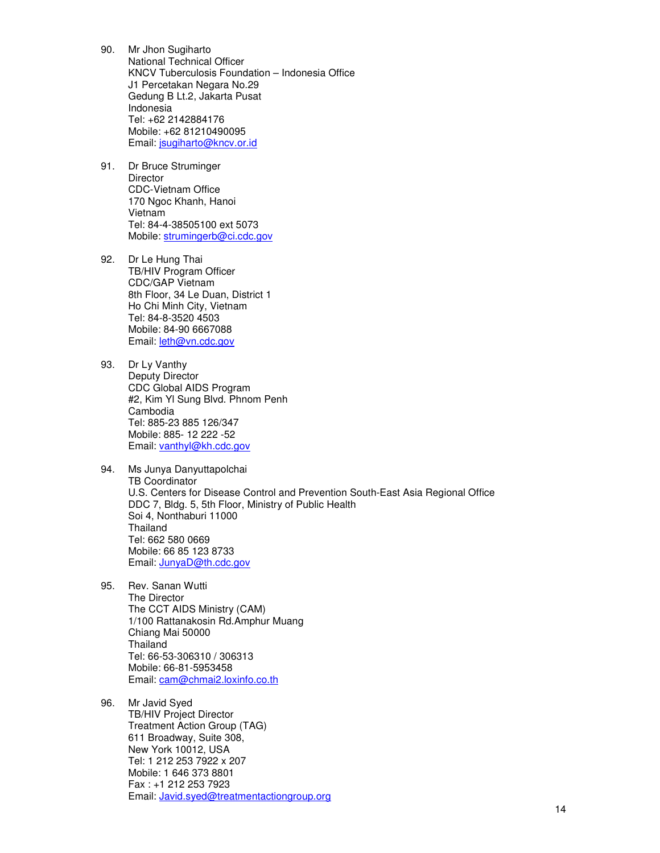- 90. Mr Jhon Sugiharto National Technical Officer KNCV Tuberculosis Foundation – Indonesia Office J1 Percetakan Negara No.29 Gedung B Lt.2, Jakarta Pusat Indonesia Tel: +62 2142884176 Mobile: +62 81210490095 Email: jsugiharto@kncv.or.id
- 91. Dr Bruce Struminger **Director** CDC-Vietnam Office 170 Ngoc Khanh, Hanoi Vietnam Tel: 84-4-38505100 ext 5073 Mobile: strumingerb@ci.cdc.gov
- 92. Dr Le Hung Thai TB/HIV Program Officer CDC/GAP Vietnam 8th Floor, 34 Le Duan, District 1 Ho Chi Minh City, Vietnam Tel: 84-8-3520 4503 Mobile: 84-90 6667088 Email: leth@vn.cdc.gov
- 93. Dr Ly Vanthy Deputy Director CDC Global AIDS Program #2, Kim Yl Sung Blvd. Phnom Penh Cambodia Tel: 885-23 885 126/347 Mobile: 885- 12 222 -52 Email: vanthyl@kh.cdc.gov
- 94. Ms Junya Danyuttapolchai TB Coordinator U.S. Centers for Disease Control and Prevention South-East Asia Regional Office DDC 7, Bldg. 5, 5th Floor, Ministry of Public Health Soi 4, Nonthaburi 11000 **Thailand** Tel: 662 580 0669 Mobile: 66 85 123 8733 Email: JunyaD@th.cdc.gov
- 95. Rev. Sanan Wutti The Director The CCT AIDS Ministry (CAM) 1/100 Rattanakosin Rd.Amphur Muang Chiang Mai 50000 Thailand Tel: 66-53-306310 / 306313 Mobile: 66-81-5953458 Email: cam@chmai2.loxinfo.co.th
- 96. Mr Javid Syed TB/HIV Project Director Treatment Action Group (TAG) 611 Broadway, Suite 308, New York 10012, USA Tel: 1 212 253 7922 x 207 Mobile: 1 646 373 8801 Fax : +1 212 253 7923 Email: Javid.syed@treatmentactiongroup.org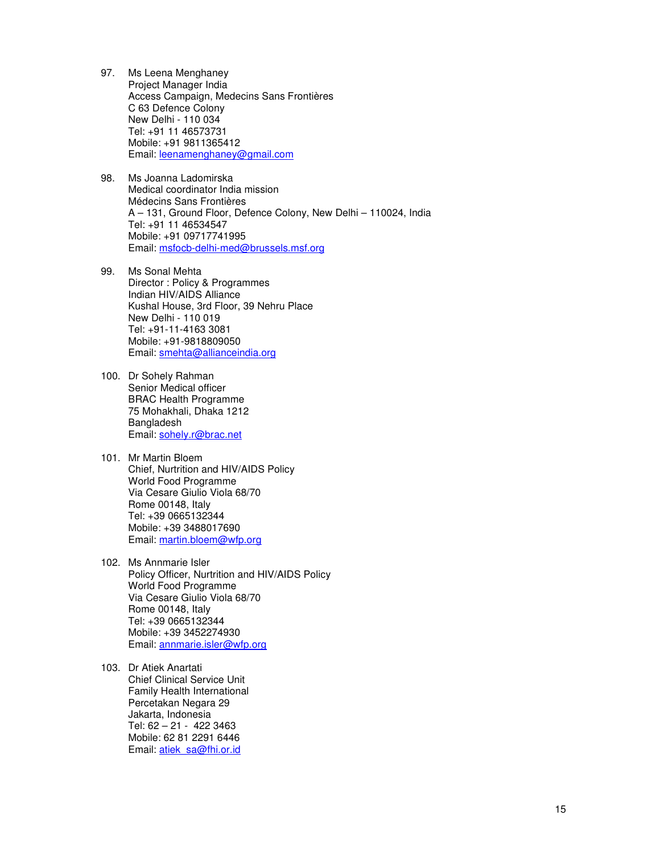- 97. Ms Leena Menghaney Project Manager India Access Campaign, Medecins Sans Frontières C 63 Defence Colony New Delhi - 110 034 Tel: +91 11 46573731 Mobile: +91 9811365412 Email: leenamenghaney@gmail.com
- 98. Ms Joanna Ladomirska Medical coordinator India mission Médecins Sans Frontières A – 131, Ground Floor, Defence Colony, New Delhi – 110024, India Tel: +91 11 46534547 Mobile: +91 09717741995 Email: msfocb-delhi-med@brussels.msf.org
- 99. Ms Sonal Mehta Director : Policy & Programmes Indian HIV/AIDS Alliance Kushal House, 3rd Floor, 39 Nehru Place New Delhi - 110 019 Tel: +91-11-4163 3081 Mobile: +91-9818809050 Email: smehta@allianceindia.org
- 100. Dr Sohely Rahman Senior Medical officer BRAC Health Programme 75 Mohakhali, Dhaka 1212 Bangladesh Email: sohely.r@brac.net
- 101. Mr Martin Bloem Chief, Nurtrition and HIV/AIDS Policy World Food Programme Via Cesare Giulio Viola 68/70 Rome 00148, Italy Tel: +39 0665132344 Mobile: +39 3488017690 Email: martin.bloem@wfp.org
- 102. Ms Annmarie Isler Policy Officer, Nurtrition and HIV/AIDS Policy World Food Programme Via Cesare Giulio Viola 68/70 Rome 00148, Italy Tel: +39 0665132344 Mobile: +39 3452274930 Email: annmarie.isler@wfp.org
- 103. Dr Atiek Anartati Chief Clinical Service Unit Family Health International Percetakan Negara 29 Jakarta, Indonesia Tel: 62 – 21 - 422 3463 Mobile: 62 81 2291 6446 Email: atiek\_sa@fhi.or.id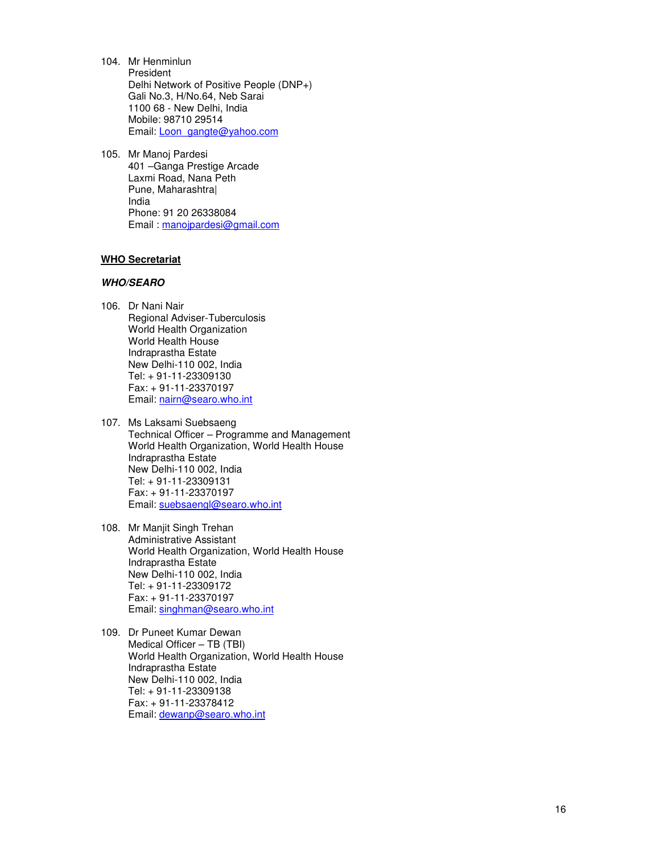- 104. Mr Henminlun President Delhi Network of Positive People (DNP+) Gali No.3, H/No.64, Neb Sarai 1100 68 - New Delhi, India Mobile: 98710 29514 Email: Loon\_gangte@yahoo.com
- 105. Mr Manoj Pardesi 401 –Ganga Prestige Arcade Laxmi Road, Nana Peth Pune, Maharashtra| India Phone: 91 20 26338084 Email : manojpardesi@gmail.com

## **WHO Secretariat**

#### **WHO/SEARO**

- 106. Dr Nani Nair Regional Adviser-Tuberculosis World Health Organization World Health House Indraprastha Estate New Delhi-110 002, India Tel: + 91-11-23309130 Fax: + 91-11-23370197 Email: nairn@searo.who.int
- 107. Ms Laksami Suebsaeng Technical Officer – Programme and Management World Health Organization, World Health House Indraprastha Estate New Delhi-110 002, India Tel: + 91-11-23309131 Fax: + 91-11-23370197 Email: suebsaengl@searo.who.int
- 108. Mr Manjit Singh Trehan Administrative Assistant World Health Organization, World Health House Indraprastha Estate New Delhi-110 002, India Tel: + 91-11-23309172 Fax: + 91-11-23370197 Email: singhman@searo.who.int
- 109. Dr Puneet Kumar Dewan Medical Officer – TB (TBI) World Health Organization, World Health House Indraprastha Estate New Delhi-110 002, India Tel: + 91-11-23309138 Fax: + 91-11-23378412 Email: dewanp@searo.who.int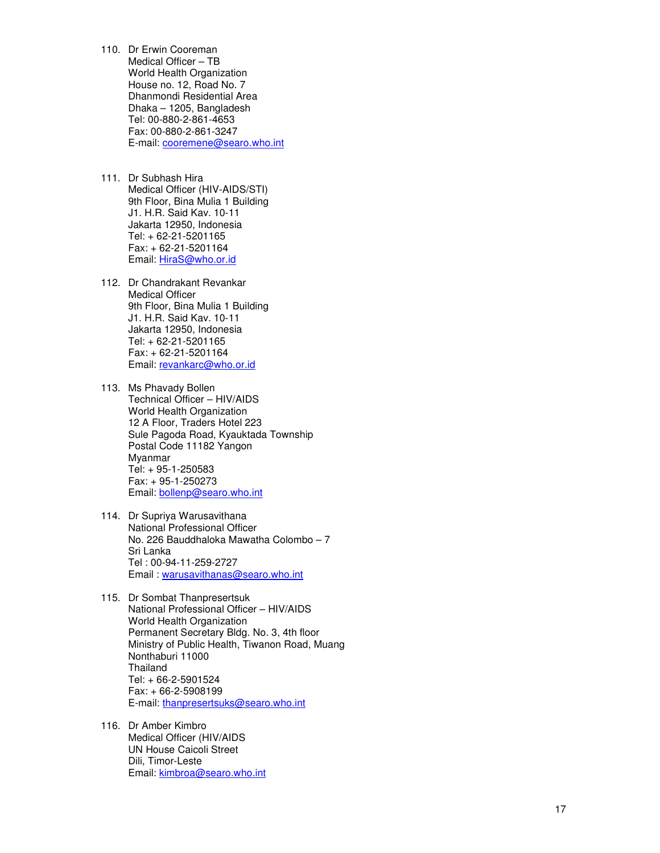- 110. Dr Erwin Cooreman Medical Officer – TB World Health Organization House no. 12, Road No. 7 Dhanmondi Residential Area Dhaka – 1205, Bangladesh Tel: 00-880-2-861-4653 Fax: 00-880-2-861-3247 E-mail: cooremene@searo.who.int
- 111. Dr Subhash Hira Medical Officer (HIV-AIDS/STI) 9th Floor, Bina Mulia 1 Building J1. H.R. Said Kav. 10-11 Jakarta 12950, Indonesia Tel: + 62-21-5201165 Fax: + 62-21-5201164 Email: HiraS@who.or.id
- 112. Dr Chandrakant Revankar Medical Officer 9th Floor, Bina Mulia 1 Building J1. H.R. Said Kav. 10-11 Jakarta 12950, Indonesia Tel: + 62-21-5201165 Fax: + 62-21-5201164 Email: revankarc@who.or.id
- 113. Ms Phavady Bollen Technical Officer – HIV/AIDS World Health Organization 12 A Floor, Traders Hotel 223 Sule Pagoda Road, Kyauktada Township Postal Code 11182 Yangon Myanmar Tel: + 95-1-250583 Fax: + 95-1-250273 Email: bollenp@searo.who.int
- 114. Dr Supriya Warusavithana National Professional Officer No. 226 Bauddhaloka Mawatha Colombo – 7 Sri Lanka Tel : 00-94-11-259-2727 Email : warusavithanas@searo.who.int
- 115. Dr Sombat Thanpresertsuk National Professional Officer – HIV/AIDS World Health Organization Permanent Secretary Bldg. No. 3, 4th floor Ministry of Public Health, Tiwanon Road, Muang Nonthaburi 11000 **Thailand** Tel: + 66-2-5901524 Fax: + 66-2-5908199 E-mail: thanpresertsuks@searo.who.int
- 116. Dr Amber Kimbro Medical Officer (HIV/AIDS UN House Caicoli Street Dili, Timor-Leste Email: kimbroa@searo.who.int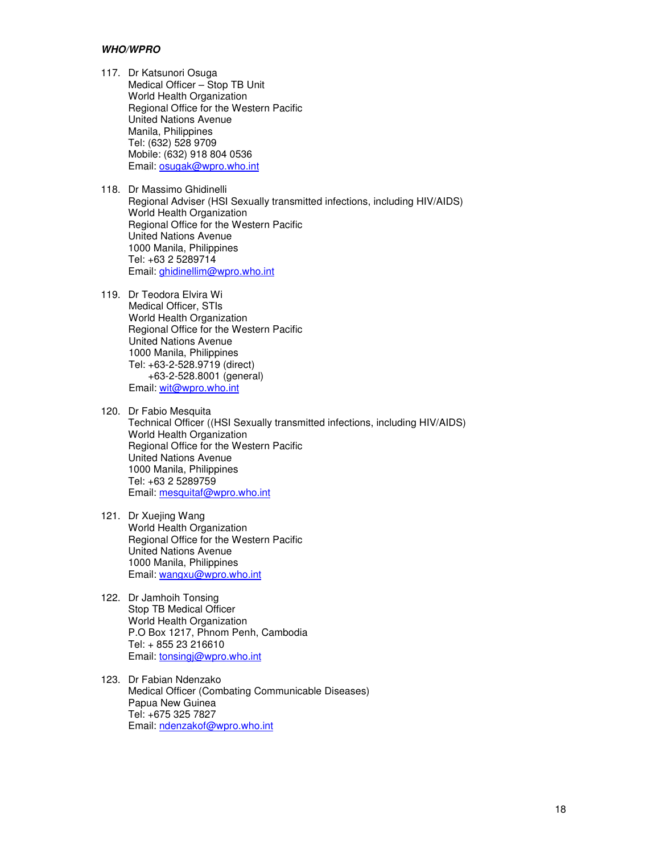## **WHO/WPRO**

- 117. Dr Katsunori Osuga Medical Officer – Stop TB Unit World Health Organization Regional Office for the Western Pacific United Nations Avenue Manila, Philippines Tel: (632) 528 9709 Mobile: (632) 918 804 0536 Email: osugak@wpro.who.int
- 118. Dr Massimo Ghidinelli Regional Adviser (HSI Sexually transmitted infections, including HIV/AIDS) World Health Organization Regional Office for the Western Pacific United Nations Avenue 1000 Manila, Philippines Tel: +63 2 5289714 Email: ghidinellim@wpro.who.int
- 119. Dr Teodora Elvira Wi Medical Officer, STIs World Health Organization Regional Office for the Western Pacific United Nations Avenue 1000 Manila, Philippines Tel: +63-2-528.9719 (direct) +63-2-528.8001 (general) Email: wit@wpro.who.int
- 120. Dr Fabio Mesquita Technical Officer ((HSI Sexually transmitted infections, including HIV/AIDS) World Health Organization Regional Office for the Western Pacific United Nations Avenue 1000 Manila, Philippines Tel: +63 2 5289759 Email: mesquitaf@wpro.who.int
- 121. Dr Xuejing Wang World Health Organization Regional Office for the Western Pacific United Nations Avenue 1000 Manila, Philippines Email: wangxu@wpro.who.int
- 122. Dr Jamhoih Tonsing Stop TB Medical Officer World Health Organization P.O Box 1217, Phnom Penh, Cambodia Tel: + 855 23 216610 Email: tonsingj@wpro.who.int
- 123. Dr Fabian Ndenzako Medical Officer (Combating Communicable Diseases) Papua New Guinea Tel: +675 325 7827 Email: ndenzakof@wpro.who.int